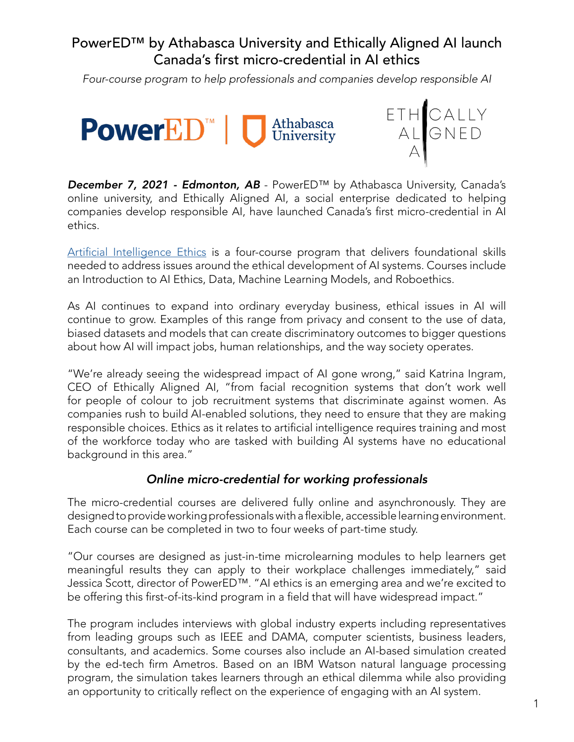# PowerED™ by Athabasca University and Ethically Aligned AI launch Canada's first micro-credential in AI ethics

*Four-course program to help professionals and companies develop responsible AI*





*December 7, 2021 - Edmonton, AB* - PowerED™ by Athabasca University, Canada's online university, and Ethically Aligned AI, a social enterprise dedicated to helping companies develop responsible AI, have launched Canada's first micro-credential in AI ethics.

[Artificial Intelligence Ethics](https://powered.athabascau.ca/product?catalog=AI-Micro-Credential) is a four-course program that delivers foundational skills needed to address issues around the ethical development of AI systems. Courses include an Introduction to AI Ethics, Data, Machine Learning Models, and Roboethics.

As AI continues to expand into ordinary everyday business, ethical issues in AI will continue to grow. Examples of this range from privacy and consent to the use of data, biased datasets and models that can create discriminatory outcomes to bigger questions about how AI will impact jobs, human relationships, and the way society operates.

"We're already seeing the widespread impact of AI gone wrong," said Katrina Ingram, CEO of Ethically Aligned AI, "from facial recognition systems that don't work well for people of colour to job recruitment systems that discriminate against women. As companies rush to build AI-enabled solutions, they need to ensure that they are making responsible choices. Ethics as it relates to artificial intelligence requires training and most of the workforce today who are tasked with building AI systems have no educational background in this area."

## *Online micro-credential for working professionals*

The micro-credential courses are delivered fully online and asynchronously. They are designed to provide working professionals with a flexible, accessible learning environment. Each course can be completed in two to four weeks of part-time study.

"Our courses are designed as just-in-time microlearning modules to help learners get meaningful results they can apply to their workplace challenges immediately," said Jessica Scott, director of PowerED™. "AI ethics is an emerging area and we're excited to be offering this first-of-its-kind program in a field that will have widespread impact."

The program includes interviews with global industry experts including representatives from leading groups such as IEEE and DAMA, computer scientists, business leaders, consultants, and academics. Some courses also include an AI-based simulation created by the ed-tech firm Ametros. Based on an IBM Watson natural language processing program, the simulation takes learners through an ethical dilemma while also providing an opportunity to critically reflect on the experience of engaging with an AI system.